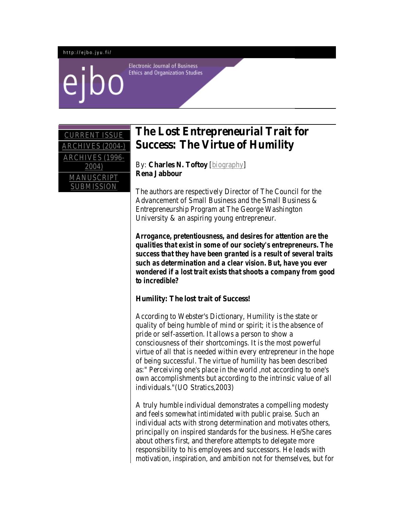#### http://ejbo.jyu.fi/

**Electronic Journal of Business Ethics and Organization Studies** 

| <b>CURRENT ISSUE</b>            |
|---------------------------------|
| ARCHIVES (2004-)                |
| <b>ARCHIVES (1996-</b><br>2004) |
| MANUSCRIPT<br><b>SUBMISSION</b> |

# **The Lost Entrepreneurial Trait for Success: The Virtue of Humility**

By: **Charles N. Toftoy** [\[biography\]](http://ejbo.jyu.fi/bios/charles.toftoy.html) **Rena Jabbour**

The authors are respectively Director of The Council for the Advancement of Small Business and the Small Business & Entrepreneurship Program at The George Washington University & an aspiring young entrepreneur.

*Arrogance, pretentiousness, and desires for attention are the qualities that exist in some of our society's entrepreneurs. The success that they have been granted is a result of several traits such as determination and a clear vision. But, have you ever wondered if a lost trait exists that shoots a company from good to incredible?*

# **Humility: The lost trait of Success!**

According to Webster's Dictionary, Humility is the state or quality of being humble of mind or spirit; it is the absence of pride or self-assertion. It allows a person to show a consciousness of their shortcomings. It is the most powerful virtue of all that is needed within every entrepreneur in the hope of being successful. The virtue of humility has been described as:" Perceiving one's place in the world ,not according to one's own accomplishments but according to the intrinsic value of all individuals."(UO Stratics,2003)

A truly humble individual demonstrates a compelling modesty and feels somewhat intimidated with public praise. Such an individual acts with strong determination and motivates others, principally on inspired standards for the business. He/She cares about others first, and therefore attempts to delegate more responsibility to his employees and successors. He leads with motivation, inspiration, and ambition not for themselves, but for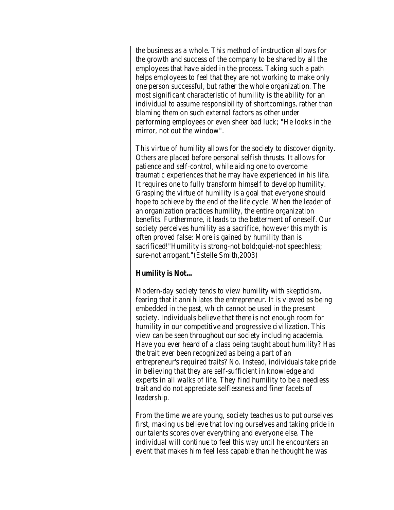the business as a whole. This method of instruction allows for the growth and success of the company to be shared by all the employees that have aided in the process. Taking such a path helps employees to feel that they are not working to make only one person successful, but rather the whole organization. The most significant characteristic of humility is the ability for an individual to assume responsibility of shortcomings, rather than blaming them on such external factors as other under performing employees or even sheer bad luck; "He looks in the mirror, not out the window".

This virtue of humility allows for the society to discover dignity. Others are placed before personal selfish thrusts. It allows for patience and self-control, while aiding one to overcome traumatic experiences that he may have experienced in his life. It requires one to fully transform himself to develop humility. Grasping the virtue of humility is a goal that everyone should hope to achieve by the end of the life cycle. When the leader of an organization practices humility, the entire organization benefits. Furthermore, it leads to the betterment of oneself. Our society perceives humility as a sacrifice, however this myth is often proved false: More is gained by humility than is sacrificed!"Humility is strong-not bold;quiet-not speechless; sure-not arrogant."(Estelle Smith,2003)

# **Humility is Not...**

Modern-day society tends to view humility with skepticism, fearing that it annihilates the entrepreneur. It is viewed as being embedded in the past, which cannot be used in the present society. Individuals believe that there is not enough room for humility in our competitive and progressive civilization. This view can be seen throughout our society including academia. Have you ever heard of a class being taught about humility? Has the trait ever been recognized as being a part of an entrepreneur's required traits? No. Instead, individuals take pride in believing that they are self-sufficient in knowledge and experts in all walks of life. They find humility to be a needless trait and do not appreciate selflessness and finer facets of leadership.

From the time we are young, society teaches us to put ourselves first, making us believe that loving ourselves and taking pride in our talents scores over everything and everyone else. The individual will continue to feel this way until he encounters an event that makes him feel less capable than he thought he was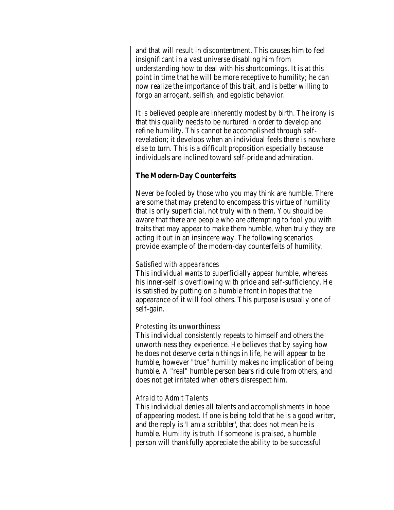and that will result in discontentment. This causes him to feel insignificant in a vast universe disabling him from understanding how to deal with his shortcomings. It is at this point in time that he will be more receptive to humility; he can now realize the importance of this trait, and is better willing to forgo an arrogant, selfish, and egoistic behavior.

It is believed people are inherently modest by birth. The irony is that this quality needs to be nurtured in order to develop and refine humility. This cannot be accomplished through selfrevelation; it develops when an individual feels there is nowhere else to turn. This is a difficult proposition especially because individuals are inclined toward self-pride and admiration.

# **The Modern-Day Counterfeits**

Never be fooled by those who you may think are humble. There are some that may pretend to encompass this virtue of humility that is only superficial, not truly within them. You should be aware that there are people who are attempting to fool you with traits that may appear to make them humble, when truly they are acting it out in an insincere way. The following scenarios provide example of the modern-day counterfeits of humility.

# *Satisfied with appearances*

This individual wants to superficially appear humble, whereas his inner-self is overflowing with pride and self-sufficiency. He is satisfied by putting on a humble front in hopes that the appearance of it will fool others. This purpose is usually one of self-gain.

# *Protesting its unworthiness*

This individual consistently repeats to himself and others the unworthiness they experience. He believes that by saying how he does not deserve certain things in life, he will appear to be humble, however "true" humility makes no implication of being humble. A "real" humble person bears ridicule from others, and does not get irritated when others disrespect him.

# *Afraid to Admit Talents*

This individual denies all talents and accomplishments in hope of appearing modest. If one is being told that he is a good writer, and the reply is 'I am a scribbler', that does not mean he is humble. Humility is truth. If someone is praised, a humble person will thankfully appreciate the ability to be successful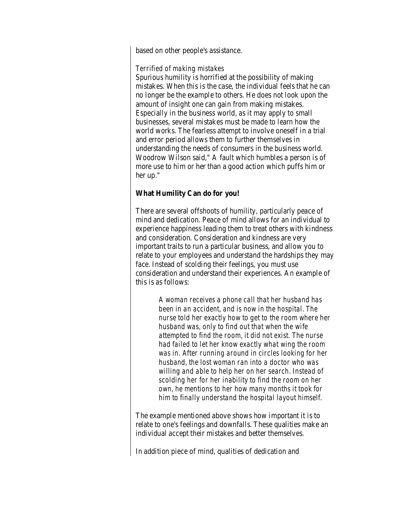based on other people's assistance.

# *Terrified of making mistakes*

Spurious humility is horrified at the possibility of making mistakes. When this is the case, the individual feels that he can no longer be the example to others. He does not look upon the amount of insight one can gain from making mistakes. Especially in the business world, as it may apply to small businesses, several mistakes must be made to learn how the world works. The fearless attempt to involve oneself in a trial and error period allows them to further themselves in understanding the needs of consumers in the business world. Woodrow Wilson said," A fault which humbles a person is of more use to him or her than a good action which puffs him or her up."

# **What Humility Can do for you!**

There are several offshoots of humility, particularly peace of mind and dedication. Peace of mind allows for an individual to experience happiness leading them to treat others with kindness and consideration. Consideration and kindness are very important traits to run a particular business, and allow you to relate to your employees and understand the hardships they may face. Instead of scolding their feelings, you must use consideration and understand their experiences. An example of this is as follows:

> *A woman receives a phone call that her husband has been in an accident, and is now in the hospital. The nurse told her exactly how to get to the room where her husband was, only to find out that when the wife attempted to find the room, it did not exist. The nurse had failed to let her know exactly what wing the room was in. After running around in circles looking for her husband, the lost woman ran into a doctor who was willing and able to help her on her search. Instead of scolding her for her inability to find the room on her own, he mentions to her how many months it took for him to finally understand the hospital layout himself.*

The example mentioned above shows how important it is to relate to one's feelings and downfalls. These qualities make an individual accept their mistakes and better themselves.

In addition piece of mind, qualities of dedication and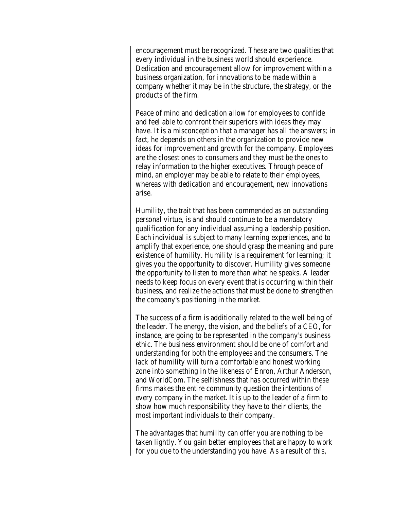encouragement must be recognized. These are two qualities that every individual in the business world should experience. Dedication and encouragement allow for improvement within a business organization, for innovations to be made within a company whether it may be in the structure, the strategy, or the products of the firm.

Peace of mind and dedication allow for employees to confide and feel able to confront their superiors with ideas they may have. It is a misconception that a manager has all the answers; in fact, he depends on others in the organization to provide new ideas for improvement and growth for the company. Employees are the closest ones to consumers and they must be the ones to relay information to the higher executives. Through peace of mind, an employer may be able to relate to their employees, whereas with dedication and encouragement, new innovations arise.

Humility, the trait that has been commended as an outstanding personal virtue, is and should continue to be a mandatory qualification for any individual assuming a leadership position. Each individual is subject to many learning experiences, and to amplify that experience, one should grasp the meaning and pure existence of humility. Humility is a requirement for learning; it gives you the opportunity to discover. Humility gives someone the opportunity to listen to more than what he speaks. A leader needs to keep focus on every event that is occurring within their business, and realize the actions that must be done to strengthen the company's positioning in the market.

The success of a firm is additionally related to the well being of the leader. The energy, the vision, and the beliefs of a CEO, for instance, are going to be represented in the company's business ethic. The business environment should be one of comfort and understanding for both the employees and the consumers. The lack of humility will turn a comfortable and honest working zone into something in the likeness of Enron, Arthur Anderson, and WorldCom. The selfishness that has occurred within these firms makes the entire community question the intentions of every company in the market. It is up to the leader of a firm to show how much responsibility they have to their clients, the most important individuals to their company.

The advantages that humility can offer you are nothing to be taken lightly. You gain better employees that are happy to work for you due to the understanding you have. As a result of this,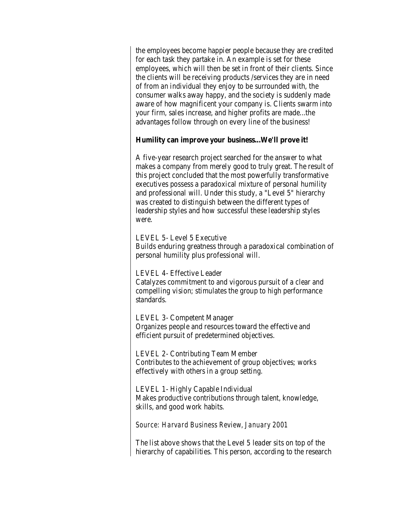the employees become happier people because they are credited for each task they partake in. An example is set for these employees, which will then be set in front of their clients. Since the clients will be receiving products /services they are in need of from an individual they enjoy to be surrounded with, the consumer walks away happy, and the society is suddenly made aware of how magnificent your company is. Clients swarm into your firm, sales increase, and higher profits are made...the advantages follow through on every line of the business!

#### **Humility can improve your business...We'll prove it!**

A five-year research project searched for the answer to what makes a company from merely good to truly great. The result of this project concluded that the most powerfully transformative executives possess a paradoxical mixture of personal humility and professional will. Under this study, a "Level 5" hierarchy was created to distinguish between the different types of leadership styles and how successful these leadership styles were.

LEVEL 5- Level 5 Executive

Builds enduring greatness through a paradoxical combination of personal humility plus professional will.

LEVEL 4- Effective Leader

Catalyzes commitment to and vigorous pursuit of a clear and compelling vision; stimulates the group to high performance standards.

LEVEL 3- Competent Manager Organizes people and resources toward the effective and efficient pursuit of predetermined objectives.

LEVEL 2- Contributing Team Member Contributes to the achievement of group objectives; works effectively with others in a group setting.

LEVEL 1- Highly Capable Individual Makes productive contributions through talent, knowledge, skills, and good work habits.

*Source: Harvard Business Review, January 2001*

The list above shows that the Level 5 leader sits on top of the hierarchy of capabilities. This person, according to the research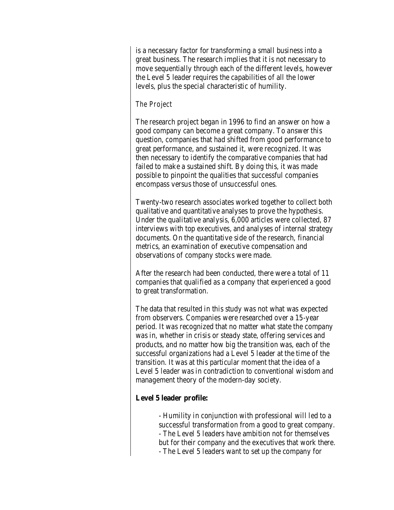is a necessary factor for transforming a small business into a great business. The research implies that it is not necessary to move sequentially through each of the different levels, however the Level 5 leader requires the capabilities of all the lower levels, plus the special characteristic of humility.

#### *The Project*

The research project began in 1996 to find an answer on how a good company can become a great company. To answer this question, companies that had shifted from good performance to great performance, and sustained it, were recognized. It was then necessary to identify the comparative companies that had failed to make a sustained shift. By doing this, it was made possible to pinpoint the qualities that successful companies encompass versus those of unsuccessful ones.

Twenty-two research associates worked together to collect both qualitative and quantitative analyses to prove the hypothesis. Under the qualitative analysis, 6,000 articles were collected, 87 interviews with top executives, and analyses of internal strategy documents. On the quantitative side of the research, financial metrics, an examination of executive compensation and observations of company stocks were made.

After the research had been conducted, there were a total of 11 companies that qualified as a company that experienced a good to great transformation.

The data that resulted in this study was not what was expected from observers. Companies were researched over a 15-year period. It was recognized that no matter what state the company was in, whether in crisis or steady state, offering services and products, and no matter how big the transition was, each of the successful organizations had a Level 5 leader at the time of the transition. It was at this particular moment that the idea of a Level 5 leader was in contradiction to conventional wisdom and management theory of the modern-day society.

#### **Level 5 leader profile:**

- Humility in conjunction with professional will led to a successful transformation from a good to great company. - The Level 5 leaders have ambition not for themselves but for their company and the executives that work there. - The Level 5 leaders want to set up the company for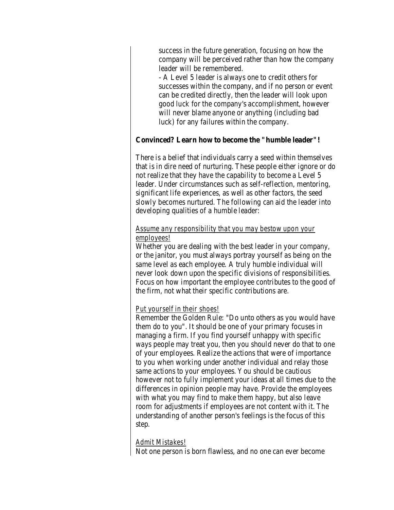success in the future generation, focusing on how the company will be perceived rather than how the company leader will be remembered.

- A Level 5 leader is always one to credit others for successes within the company, and if no person or event can be credited directly, then the leader will look upon good luck for the company's accomplishment, however will never blame anyone or anything (including bad luck) for any failures within the company.

# **Convinced? Learn how to become the "humble leader"!**

There is a belief that individuals carry a seed within themselves that is in dire need of nurturing. These people either ignore or do not realize that they have the capability to become a Level 5 leader. Under circumstances such as self-reflection, mentoring, significant life experiences, as well as other factors, the seed slowly becomes nurtured. The following can aid the leader into developing qualities of a humble leader:

# *Assume any responsibility that you may bestow upon your employees!*

Whether you are dealing with the best leader in your company, or the janitor, you must always portray yourself as being on the same level as each employee. A truly humble individual will never look down upon the specific divisions of responsibilities. Focus on how important the employee contributes to the good of the firm, not what their specific contributions are.

# *Put yourself in their shoes!*

Remember the Golden Rule: "Do unto others as you would have them do to you". It should be one of your primary focuses in managing a firm. If you find yourself unhappy with specific ways people may treat you, then you should never do that to one of your employees. Realize the actions that were of importance to you when working under another individual and relay those same actions to your employees. You should be cautious however not to fully implement your ideas at all times due to the differences in opinion people may have. Provide the employees with what you may find to make them happy, but also leave room for adjustments if employees are not content with it. The understanding of another person's feelings is the focus of this step.

#### *Admit Mistakes!*

Not one person is born flawless, and no one can ever become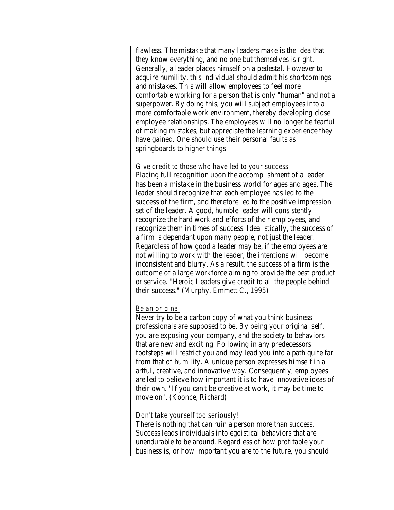flawless. The mistake that many leaders make is the idea that they know everything, and no one but themselves is right. Generally, a leader places himself on a pedestal. However to acquire humility, this individual should admit his shortcomings and mistakes. This will allow employees to feel more comfortable working for a person that is only "human" and not a superpower. By doing this, you will subject employees into a more comfortable work environment, thereby developing close employee relationships. The employees will no longer be fearful of making mistakes, but appreciate the learning experience they have gained. One should use their personal faults as springboards to higher things!

#### *Give credit to those who have led to your success*

Placing full recognition upon the accomplishment of a leader has been a mistake in the business world for ages and ages. The leader should recognize that each employee has led to the success of the firm, and therefore led to the positive impression set of the leader. A good, humble leader will consistently recognize the hard work and efforts of their employees, and recognize them in times of success. Idealistically, the success of a firm is dependant upon many people, not just the leader. Regardless of how good a leader may be, if the employees are not willing to work with the leader, the intentions will become inconsistent and blurry. As a result, the success of a firm is the outcome of a large workforce aiming to provide the best product or service. "Heroic Leaders give credit to all the people behind their success." (Murphy, Emmett C., 1995)

# *Be an original*

Never try to be a carbon copy of what you think business professionals are supposed to be. By being your original self, you are exposing your company, and the society to behaviors that are new and exciting. Following in any predecessors footsteps will restrict you and may lead you into a path quite far from that of humility. A unique person expresses himself in a artful, creative, and innovative way. Consequently, employees are led to believe how important it is to have innovative ideas of their own. "If you can't be creative at work, it may be time to move on". (Koonce, Richard)

# *Don't take yourself too seriously!*

There is nothing that can ruin a person more than success. Success leads individuals into egoistical behaviors that are unendurable to be around. Regardless of how profitable your business is, or how important you are to the future, you should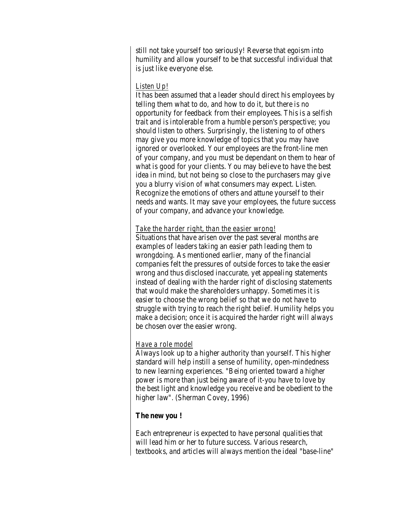still not take yourself too seriously! Reverse that egoism into humility and allow yourself to be that successful individual that is just like everyone else.

# *Listen Up!*

It has been assumed that a leader should direct his employees by telling them what to do, and how to do it, but there is no opportunity for feedback from their employees. This is a selfish trait and is intolerable from a humble person's perspective; you should listen to others. Surprisingly, the listening to of others may give you more knowledge of topics that you may have ignored or overlooked. Your employees are the front-line men of your company, and you must be dependant on them to hear of what is good for your clients. You may believe to have the best idea in mind, but not being so close to the purchasers may give you a blurry vision of what consumers may expect. Listen. Recognize the emotions of others and attune yourself to their needs and wants. It may save your employees, the future success of your company, and advance your knowledge.

#### *Take the harder right, than the easier wrong!*

Situations that have arisen over the past several months are examples of leaders taking an easier path leading them to wrongdoing. As mentioned earlier, many of the financial companies felt the pressures of outside forces to take the easier wrong and thus disclosed inaccurate, yet appealing statements instead of dealing with the harder right of disclosing statements that would make the shareholders unhappy. Sometimes it is easier to choose the wrong belief so that we do not have to struggle with trying to reach the right belief. Humility helps you make a decision; once it is acquired the harder right will always be chosen over the easier wrong.

# *Have a role model*

Always look up to a higher authority than yourself. This higher standard will help instill a sense of humility, open-mindedness to new learning experiences. "Being oriented toward a higher power is more than just being aware of it-you have to love by the best light and knowledge you receive and be obedient to the higher law". (Sherman Covey, 1996)

# **The new you !**

Each entrepreneur is expected to have personal qualities that will lead him or her to future success. Various research, textbooks, and articles will always mention the ideal "base-line"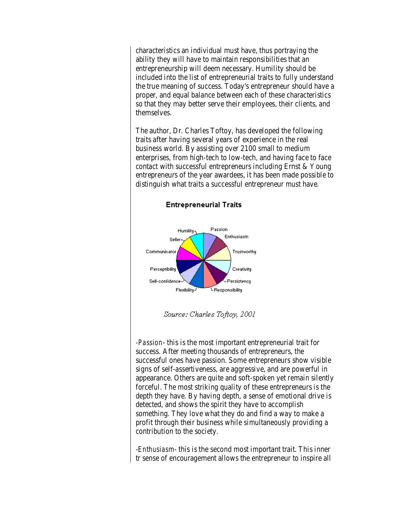characteristics an individual must have, thus portraying the ability they will have to maintain responsibilities that an entrepreneurship will deem necessary. Humility should be included into the list of entrepreneurial traits to fully understand the true meaning of success. Today's entrepreneur should have a proper, and equal balance between each of these characteristics so that they may better serve their employees, their clients, and themselves.

The author, Dr. Charles Toftoy, has developed the following traits after having several years of experience in the real business world. By assisting over 2100 small to medium enterprises, from high-tech to low-tech, and having face to face contact with successful entrepreneurs including Ernst & Young entrepreneurs of the year awardees, it has been made possible to distinguish what traits a successful entrepreneur must have.



**Entrepreneurial Traits** 

Source: Charles Toftoy, 2001

-*Passion*- this is the most important entrepreneurial trait for success. After meeting thousands of entrepreneurs, the successful ones have passion. Some entrepreneurs show visible signs of self-assertiveness, are aggressive, and are powerful in appearance. Others are quite and soft-spoken yet remain silently forceful. The most striking quality of these entrepreneurs is the depth they have. By having depth, a sense of emotional drive is detected, and shows the spirit they have to accomplish something. They love what they do and find a way to make a profit through their business while simultaneously providing a contribution to the society.

-*Enthusiasm*- this is the second most important trait. This inner tr sense of encouragement allows the entrepreneur to inspire all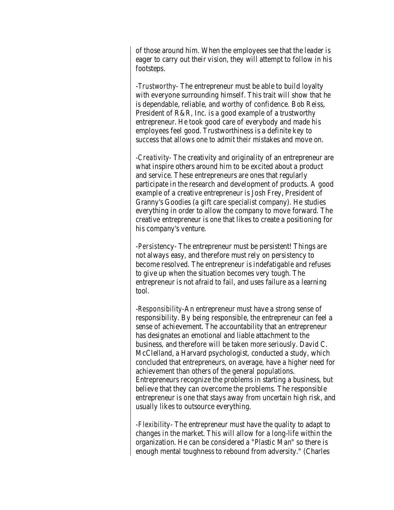of those around him. When the employees see that the leader is eager to carry out their vision, they will attempt to follow in his footsteps.

-*Trustworthy*- The entrepreneur must be able to build loyalty with everyone surrounding himself. This trait will show that he is dependable, reliable, and worthy of confidence. Bob Reiss, President of R&R, Inc. is a good example of a trustworthy entrepreneur. He took good care of everybody and made his employees feel good. Trustworthiness is a definite key to success that allows one to admit their mistakes and move on.

-*Creativity*- The creativity and originality of an entrepreneur are what inspire others around him to be excited about a product and service. These entrepreneurs are ones that regularly participate in the research and development of products. A good example of a creative entrepreneur is Josh Frey, President of Granny's Goodies (a gift care specialist company). He studies everything in order to allow the company to move forward. The creative entrepreneur is one that likes to create a positioning for his company's venture.

-*Persist*ency- The entrepreneur must be persistent! Things are not always easy, and therefore must rely on persistency to become resolved. The entrepreneur is indefatigable and refuses to give up when the situation becomes very tough. The entrepreneur is not afraid to fail, and uses failure as a learning tool.

-*Responsibility*-An entrepreneur must have a strong sense of responsibility. By being responsible, the entrepreneur can feel a sense of achievement. The accountability that an entrepreneur has designates an emotional and liable attachment to the business, and therefore will be taken more seriously. David C. McClelland, a Harvard psychologist, conducted a study, which concluded that entrepreneurs, on average, have a higher need for achievement than others of the general populations. Entrepreneurs recognize the problems in starting a business, but believe that they can overcome the problems. The responsible entrepreneur is one that stays away from uncertain high risk, and usually likes to outsource everything.

-*Flexibi*lity- The entrepreneur must have the quality to adapt to changes in the market. This will allow for a long-life within the organization. He can be considered a "Plastic Man" so there is enough mental toughness to rebound from adversity." (Charles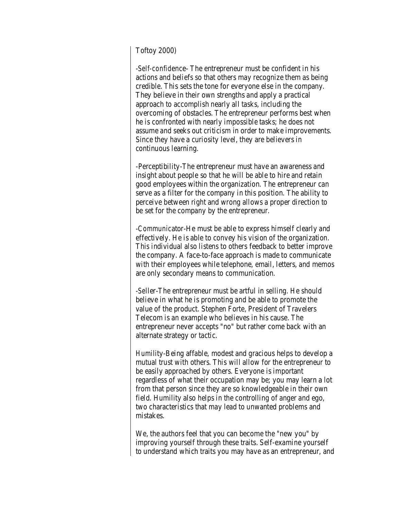#### Toftoy 2000)

-*Self-confid*ence- The entrepreneur must be confident in his actions and beliefs so that others may recognize them as being credible. This sets the tone for everyone else in the company. They believe in their own strengths and apply a practical approach to accomplish nearly all tasks, including the overcoming of obstacles. The entrepreneur performs best when he is confronted with nearly impossible tasks; he does not assume and seeks out criticism in order to make improvements. Since they have a curiosity level, they are believers in continuous learning.

-Perceptibility-The entrepreneur must have an awareness and insight about people so that he will be able to hire and retain good employees within the organization. The entrepreneur can serve as a filter for the company in this position. The ability to perceive between right and wrong allows a proper direction to be set for the company by the entrepreneur.

-*Communic*ator-He must be able to express himself clearly and effectively. He is able to convey his vision of the organization. This individual also listens to others feedback to better improve the company. A face-to-face approach is made to communicate with their employees while telephone, email, letters, and memos are only secondary means to communication.

-*Se*ller-The entrepreneur must be artful in selling. He should believe in what he is promoting and be able to promote the value of the product. Stephen Forte, President of Travelers Telecom is an example who believes in his cause. The entrepreneur never accepts "no" but rather come back with an alternate strategy or tactic.

*Humi*lity-Being affable, modest and gracious helps to develop a mutual trust with others. This will allow for the entrepreneur to be easily approached by others. Everyone is important regardless of what their occupation may be; you may learn a lot from that person since they are so knowledgeable in their own field. Humility also helps in the controlling of anger and ego, two characteristics that may lead to unwanted problems and mistakes.

We, the authors feel that you can become the "new you" by improving yourself through these traits. Self-examine yourself to understand which traits you may have as an entrepreneur, and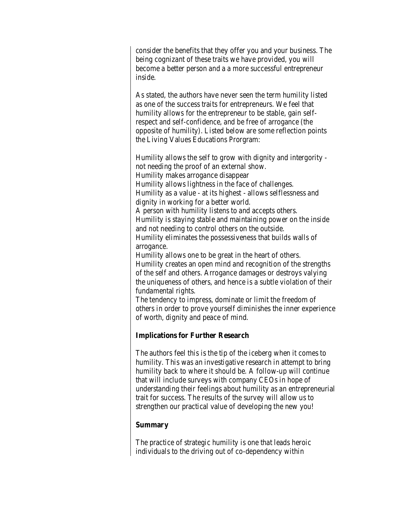consider the benefits that they offer you and your business. The being cognizant of these traits we have provided, you will become a better person and a a more successful entrepreneur inside.

As stated, the authors have never seen the term humility listed as one of the success traits for entrepreneurs. We feel that humility allows for the entrepreneur to be stable, gain selfrespect and self-confidence, and be free of arrogance (the opposite of humility). Listed below are some reflection points the Living Values Educations Prorgram:

Humility allows the self to grow with dignity and intergority not needing the proof of an external show. Humility makes arrogance disappear Humility allows lightness in the face of challenges. Humility as a value - at its highest - allows selflessness and dignity in working for a better world. A person with humility listens to and accepts others. Humility is staying stable and maintaining power on the inside and not needing to control others on the outside. Humility eliminates the possessiveness that builds walls of arrogance. Humility allows one to be great in the heart of others. Humility creates an open mind and recognition of the strengths of the self and others. Arrogance damages or destroys valying

the uniqueness of others, and hence is a subtle violation of their fundamental rights.

The tendency to impress, dominate or limit the freedom of others in order to prove yourself diminishes the inner experience of worth, dignity and peace of mind.

# **Implications for Further Research**

The authors feel this is the tip of the iceberg when it comes to humility. This was an investigative research in attempt to bring humility back to where it should be. A follow-up will continue that will include surveys with company CEOs in hope of understanding their feelings about humility as an entrepreneurial trait for success. The results of the survey will allow us to strengthen our practical value of developing the new you!

#### **Summary**

The practice of strategic humility is one that leads heroic individuals to the driving out of co-dependency within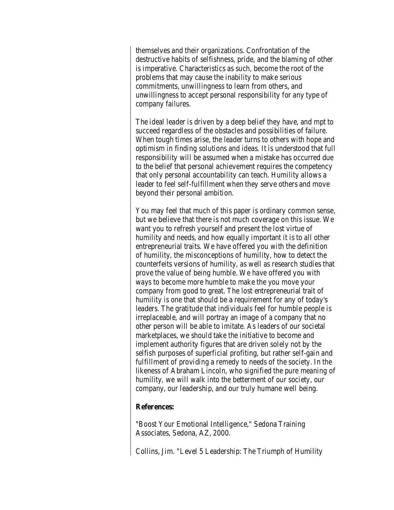themselves and their organizations. Confrontation of the destructive habits of selfishness, pride, and the blaming of other is imperative. Characteristics as such, become the root of the problems that may cause the inability to make serious commitments, unwillingness to learn from others, and unwillingness to accept personal responsibility for any type of company failures.

The ideal leader is driven by a deep belief they have, and mpt to succeed regardless of the obstacles and possibilities of failure. When tough times arise, the leader turns to others with hope and optimism in finding solutions and ideas. It is understood that full responsibility will be assumed when a mistake has occurred due to the belief that personal achievement requires the competency that only personal accountability can teach. Humility allows a leader to feel self-fulfillment when they serve others and move beyond their personal ambition.

You may feel that much of this paper is ordinary common sense, but we believe that there is not much coverage on this issue. We want you to refresh yourself and present the lost virtue of humility and needs, and how equally important it is to all other entrepreneurial traits. We have offered you with the definition of humility, the misconceptions of humility, how to detect the counterfeits versions of humility, as well as research studies that prove the value of being humble. We have offered you with ways to become more humble to make the you move your company from good to great. The lost entrepreneurial trait of humility is one that should be a requirement for any of today's leaders. The gratitude that individuals feel for humble people is irreplaceable, and will portray an image of a company that no other person will be able to imitate. As leaders of our societal marketplaces, we should take the initiative to become and implement authority figures that are driven solely not by the selfish purposes of superficial profiting, but rather self-gain and fulfillment of providing a remedy to needs of the society. In the likeness of Abraham Lincoln, who signified the pure meaning of humility, we will walk into the betterment of our society, our company, our leadership, and our truly humane well being.

#### **References:**

"Boost Your Emotional Intelligence," Sedona Training Associates, Sedona, AZ, 2000.

Collins, Jim. "Level 5 Leadership: The Triumph of Humility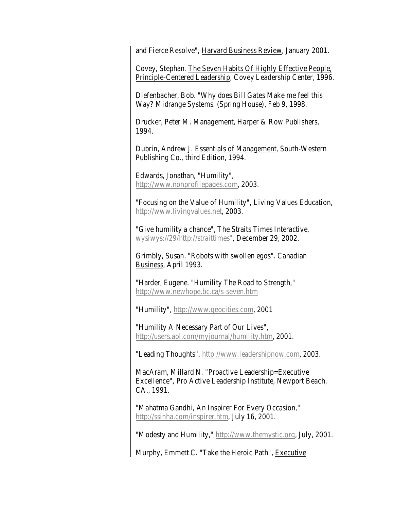and Fierce Resolve", Harvard Business Review, January 2001.

Covey, Stephan. The Seven Habits Of Highly Effective People, Principle-Centered Leadership, Covey Leadership Center, 1996.

Diefenbacher, Bob. "Why does Bill Gates Make me feel this Way? Midrange Systems. (Spring House), Feb 9, 1998.

Drucker, Peter M. Management, Harper & Row Publishers, 1994.

Dubrin, Andrew J. Essentials of Management, South-Western Publishing Co., third Edition, 1994.

Edwards, Jonathan, "Humility", [http://www.nonprofilepages.com,](http://www.nonprofitpages.com/) 2003.

"Focusing on the Value of Humility", Living Values Education, [http://www.livingvalues.net,](http://www.livingvalues.net/) 2003.

"Give humility a chance", The Straits Times Interactive, [wysiwys://29/http://straittimes",](wysiwys://29/http:/straittimes) December 29, 2002.

Grimbly, Susan. "Robots with swollen egos". Canadian Business, April 1993.

"Harder, Eugene. "Humility The Road to Strength," <http://www.newhope.bc.ca/s-seven.htm>

"Humility", [http://www.geocities.com,](http://www.geocities.com/) 2001

"Humility A Necessary Part of Our Lives", [http://users.aol.com/myjournal/humility.htm,](http://users.aol.com/myjournal/humility.htm) 2001.

"Leading Thoughts", [http://www.leadershipnow.com,](http://www.leadershipnow.com/) 2003.

MacAram, Millard N. "Proactive Leadership=Executive Excellence", Pro Active Leadership Institute, Newport Beach, CA., 1991.

"Mahatma Gandhi, An Inspirer For Every Occasion," [http://ssinha.com/inspirer.htm,](http://ssinha.com/inspirer.htm) July 16, 2001.

"Modesty and Humility," [http://www.themystic.org,](http://www.themystic.org/) July, 2001.

Murphy, Emmett C. "Take the Heroic Path", Executive